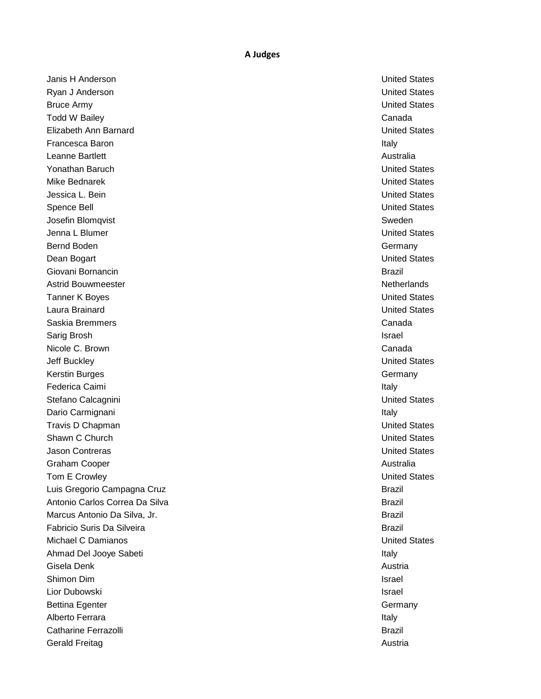## **A Judges**

Janis H Anderson United States Ryan J Anderson **United States** Bruce Army **Bruce Army Controller Controller Controller Controller Controller Controller Controller Controller Controller Controller Controller Controller Controller Controller Controller Controller Controller Controller C Todd W Bailey Canada** Canada Canada Canada Canada Canada Canada Canada Canada Canada Canada Canada Canada Canada Elizabeth Ann Barnard United States **Francesca Baron Italy 1986** Control of the Control of the Control of the Control of the Control of the Control of the Control of the Control of the Control of the Control of the Control of the Control of the Control of th Leanne Bartlett **Australia** Australia **Australia** Australia **Australia Australia** Australia Yonathan Baruch United States Mike Bednarek United States Jessica L. Bein United States Spence Bell **States** Spence Bell and the states of the states of the states of the states of the states of the states of the states of the states of the states of the states of the states of the states of the states of the Josefin Blomqvist Sweden Jenna L Blumer United States Bernd Boden Germany Communication of the Communication of the Communication of the Communication of the Communication of the Communication of the Communication of the Communication of the Communication of the Communication Dean Bogart United States Giovani Bornancin all'anno 1999 i Santo Company all'anno 1999 i Santo Company all'anno 1999 i Santo Company al Astrid Bouwmeester Netherlands and the Community of the Netherlands and the Netherlands **Tanner K Boyes United States** Laura Brainard United States Saskia Bremmers Canada Sarig Brosh Israel Nicole C. Brown **Canada** and Canada and Canada and Canada and Canada and Canada and Canada and Canada and Canada **Jeff Buckley** United States Kerstin Burges Germany Communication and the Communication of the Communication of the Communication of the Communication of the Communication of the Communication of the Communication of the Communication of the Communica Federica Caimi and the state of the state of the state of the state of the state of the state of the state of the state of the state of the state of the state of the state of the state of the state of the state of the stat Stefano Calcagnini United States Dario Carmignani **Italy and The Carmignani** Italy Travis D Chapman United States Shawn C Church **United States** Jason Contreras United States Graham Cooper **Australia** Cooper **Australia** Cooper **Australia** Cooper **Australia** Cooper Tom E Crowley **The Crowley Contract Contract Contract Contract Contract Contract Contract Contract Contract Contract Contract Contract Contract Contract Contract Contract Contract Contract Contract Contract Contract Contra** Luis Gregorio Campagna Cruz Brazil Brazil Brazil Brazil Brazil Brazil Antonio Carlos Correa Da Silva Brazil Marcus Antonio Da Silva, Jr. Brazil Fabricio Suris Da Silveira Brazil Michael C Damianos United States Ahmad Del Jooye Sabeti **Italy** Italy Gisela Denk Austria Shimon Dim **Israel** Lior Dubowski **Israel** Bettina Egenter Germany Communication of the Communication of the Communication of the Germany Communication of the Germany Alberto Ferrara in a state of the state of the state of the state of the state of the state of the state of the state of the state of the state of the state of the state of the state of the state of the state of the state Catharine Ferrazolli and the control of the control of the control of the control of the control of the control of the control of the control of the control of the control of the control of the control of the control of th Gerald Freitag Austria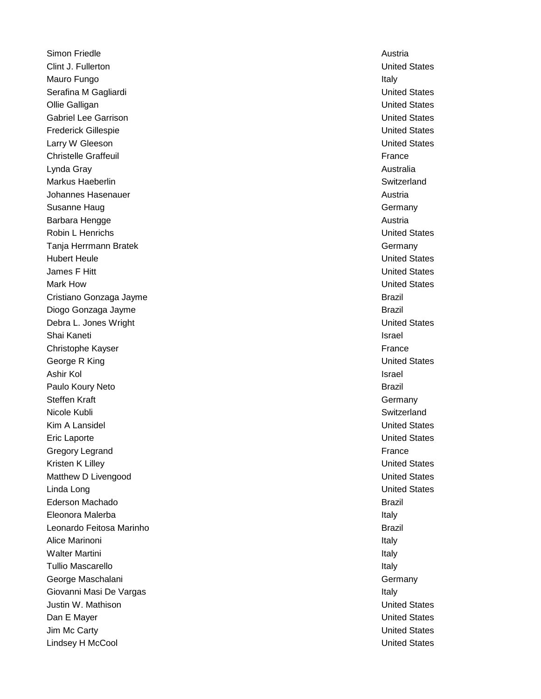Simon Friedle **Austria** Austria and *Simon Friedle* Austria and *Austria* and *Austria* and *Austria* and *Austria* Clint J. Fullerton United States Mauro Fungo Italy Serafina M Gagliardi **National States** Serafina M Gagliardi National States **United States** Ollie Galligan United States Gabriel Lee Garrison United States Frederick Gillespie United States **Larry W Gleeson Contract Contract Contract Contract Contract Contract Contract Contract Contract Contract Contract Contract Contract Contract Contract Contract Contract Contract Contract Contract Contract Contract Contr** Christelle Graffeuil **France France France France France France France France** Lynda Gray Australia Markus Haeberlin Switzerland (Switzerland Switzerland Switzerland Switzerland Switzerland Switzerland Switzerland Switzerland Switzerland Switzerland (Switzerland Switzerland Switzerland Switzerland Switzerland Switzerland Johannes Hasenauer Austria and Austria and Austria and Austria and Austria and Austria and Austria and Austria Susanne Haug Germany Communication of the Communication of the Communication of the Communication of the Communication of the Communication of the Communication of the Communication of the Communication of the Communicatio **Barbara Hengge Austria** Austria Austria Austria Austria Austria Austria Austria Austria Austria Austria Austria Robin L Henrichs **No. 2008 Contract Contract Contract Contract Contract Contract Contract Contract Contract Contract Contract Contract Contract Contract Contract Contract Contract Contract Contract Contract Contract Cont** Tanja Herrmann Bratek Germany Hubert Heule United States James F Hitt United States Mark How United States Cristiano Gonzaga Jayme Brazil and the Cristiano Gonzaga Jayme Brazil Diogo Gonzaga Jayme Brazil Debra L. Jones Wright National Communication of the United States Shai Kaneti Israel Israel Israel Israel Israel Israel Israel Israel Israel Israel Israel Israel Israel Israel Christophe Kayser **France** George R King United States Ashir Kol Israel Paulo Koury Neto **Brazil** Steffen Kraft Germany Germany Germany Germany Germany Germany Germany Germany Germany Germany Germany Germany Nicole Kubli Switzerland Nicole Kubli Switzerland Switzerland Switzerland Switzerland Switzerland Switzerland **Kim A Lansidel Controllering Controllering Controllering Controllering Controllering Controllering Controllering Controllering Controllering Controllering Controllering Controllering Controllering Controllering Controller** Eric Laporte **United States** Gregory Legrand France Kristen K Lilley **New York Contract Contract Contract Contract Contract Contract Contract Contract Contract Contract Contract Contract Contract Contract Contract Contract Contract Contract Contract Contract Contract Contra** Matthew D Livengood **National Community Community** Community Community Community Community Community Community Community Community Community Community Community Community Community Community Community Community Community C Linda Long United States Ederson Machado Brazil Eleonora Malerba Italy **Leonardo Feitosa Marinho Brazil Executor Anticonario Brazil Executor Brazil Executor Brazil** Alice Marinoni **Italy** 1999 **Contract Contract Contract Contract Contract Contract Contract Contract Contract Contract Contract Contract Contract Contract Contract Contract Contract Contract Contract Contract Contract Cont** Walter Martini Italy Tullio Mascarello in the control of the control of the control of the control of the control of the control of the control of the control of the control of the control of the control of the control of the control of the co George Maschalani George Maschalani George Maschalani Germany Germany Germany Giovanni Masi De Vargas **Italy 1999** - The Vargas Italy 1999 - The Varian School and The Vargas Italy 1999 - The Va Justin W. Mathison United States Dan E Mayer **Dan E Mayer** United States **Dan E Mayer** United States Jim Mc Carty **United States** Lindsey H McCool United States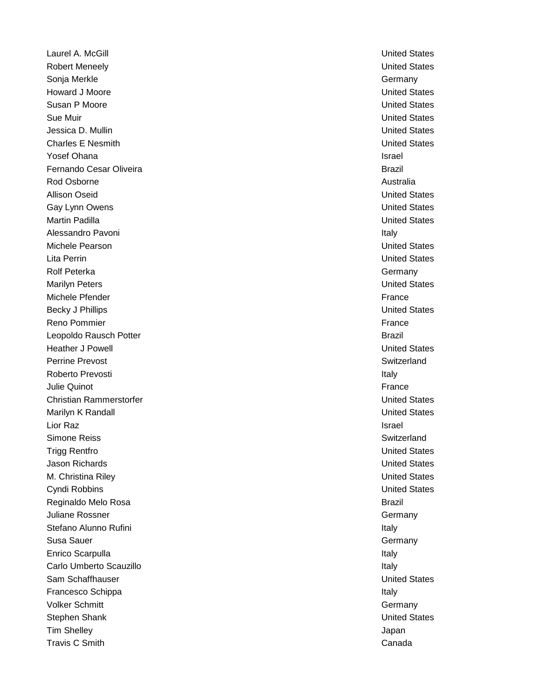Laurel A. McGill United States Robert Meneely United States Sonja Merkle Germany Company and Company Company Company Company Company Company Company Company Company Company **Howard J Moore Moore United States** Susan P Moore **Notes** and the United States of the United States and the United States of the United States of the United States of the United States of the United States of the United States of the United States of the Un Sue Muir United States Jessica D. Mullin United States Charles E Nesmith United States Yosef Ohana Israel and Israel and Israel and Israel and Israel and Israel and Israel and Israel and Israel and Israel and Israel and Israel and Israel and Israel and Israel and Israel and Israel and Israel and Israel and I Fernando Cesar Oliveira **Brazil** Rod Osborne **Australia** and Australia and Australia and Australia and Australia and Australia Allison Oseid United States Gay Lynn Owens United States Martin Padilla United States Alessandro Pavoni **Italy** 1999 - Alessandro Pavoni Italy 1999 - Alessandro Pavoni Italy 1999 - Italy 1999 - Italy Michele Pearson United States Lita Perrin United States Rolf Peterka Germany and the Contract of the Contract of the Contract of the Contract of the Contract of the Contract of the Contract of the Contract of the Contract of the Contract of the Contract of the Contract of the C Marilyn Peters United States Michele Pfender France Entertainment and the state of the state of the state of the state of the state of the state of the state of the state of the state of the state of the state of the state of the state of the state of Becky J Phillips **Development Controllers** United States **United States** Reno Pommier France Commier France Commier France Commier France Commier France Commier France Commier France Leopoldo Rausch Potter Brazil and the Control of the Control of the Brazil Heather J Powell United States Perrine Prevost **Switzerland** Switzerland **Contract Switzerland** Roberto Prevosti **Italy** Julie Quinot France Christian Rammerstorfer United States Marilyn K Randall **Marilyn K Randall** United States Lior Raz Israel Simone Reiss **Suitzerland** Switzerland **Switzerland** Switzerland Switzerland Switzerland Switzerland Switzerland Switzerland Switzerland Switzerland Switzerland Switzerland Switzerland Switzerland Switzerland Switzerland S Trigg Rentfro **United States** Jason Richards United States M. Christina Riley United States Cyndi Robbins United States Reginaldo Melo Rosa **Brazil** Juliane Rossner Germany Stefano Alunno Rufini **Italy and The Contract Contract Contract Contract Contract Contract Contract Contract Contract Contract Contract Contract Contract Contract Contract Contract Contract Contract Contract Contract Contr** Susa Sauer Germany Enrico Scarpulla **Italy** Italy Carlo Umberto Scauzillo Italy in the United Scauzillo Italy in the United Scauzillo Italy in the United Scauzi Sam Schaffhauser United States Francesco Schippa **Italy** Volker Schmitt Germany Communication of the Communication of the Communication of the Germany Communication of the Germany Stephen Shank United States Tim Shelley **Shelley** Japan Shelley **Japan Shelley** Japan Shelley Japan Shelley Japan Shelley Japan Shelley Japan Travis C Smith Canada